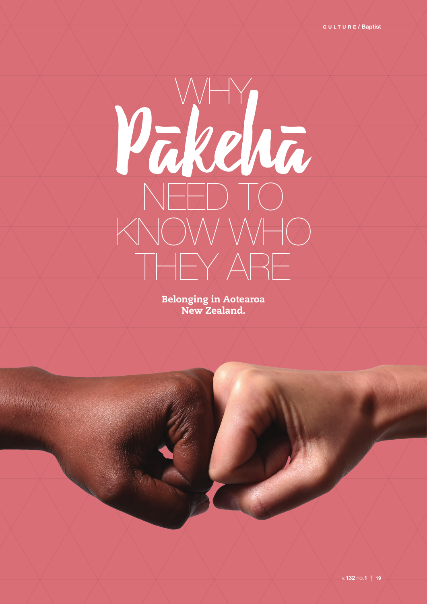# MF WHY NEED TO KNOW WHO THEY ARE

Belonging in Aotearoa New Zealand.

Website.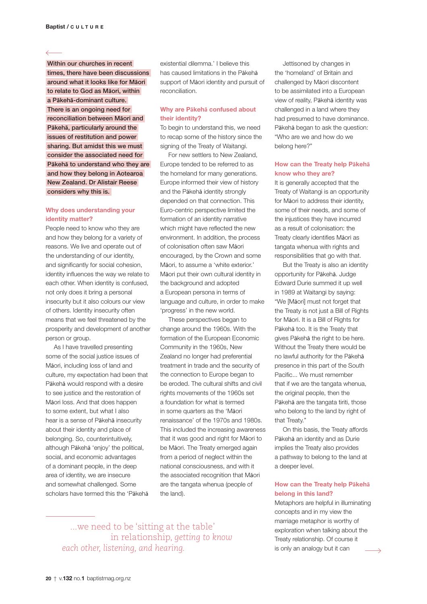**i**Within our churches in recent**i i**times, there have been discussions**i i**around what it looks like for M**ā**ori**i i**to relate to God as M**ā**ori, within**i i**a P**ā**keh**ā**-dominant culture.**i i**There is an ongoing need for**i i**reconciliation between M**ā**ori and**i i**P**ā**keh**ā**, particularly around the**i i**issues of restitution and power**i i**sharing. But amidst this we must**i i**consider the associated need for**i i**P**ā**keh**ā** to understand who they are**i i**and how they belong in Aotearoa**i i**New Zealand. Dr Alistair Reese**i i**considers why this is.**i**

## **Why does understanding your identity matter?**

People need to know who they are and how they belong for a variety of reasons. We live and operate out of the understanding of our identity, and significantly for social cohesion, identity influences the way we relate to each other. When identity is confused, not only does it bring a personal insecurity but it also colours our view of others. Identity insecurity often means that we feel threatened by the prosperity and development of another person or group.

As I have travelled presenting some of the social justice issues of Māori, including loss of land and culture, my expectation had been that Pākehā would respond with a desire to see justice and the restoration of Māori loss. And that does happen to some extent, but what I also hear is a sense of Pākehā insecurity about their identity and place of belonging. So, counterintuitively, although Pākehā 'enjoy' the political, social, and economic advantages of a dominant people, in the deep area of identity, we are insecure and somewhat challenged. Some scholars have termed this the 'Pākehā existential dilemma.' I believe this has caused limitations in the Pākehā support of Māori identity and pursuit of reconciliation.

## **Why are Pākehā confused about their identity?**

To begin to understand this, we need to recap some of the history since the signing of the Treaty of Waitangi.

For new settlers to New Zealand, Europe tended to be referred to as the homeland for many generations. Europe informed their view of history and the Pākehā identity strongly depended on that connection. This Euro-centric perspective limited the formation of an identity narrative which might have reflected the new environment. In addition, the process of colonisation often saw Māori encouraged, by the Crown and some Māori, to assume a 'white exterior.' Māori put their own cultural identity in the background and adopted a European persona in terms of language and culture, in order to make 'progress' in the new world.

These perspectives began to change around the 1960s. With the formation of the European Economic Community in the 1960s, New Zealand no longer had preferential treatment in trade and the security of the connection to Europe began to be eroded. The cultural shifts and civil rights movements of the 1960s set a foundation for what is termed in some quarters as the 'Māori renaissance' of the 1970s and 1980s. This included the increasing awareness that it was good and right for Māori to be Māori. The Treaty emerged again from a period of neglect within the national consciousness, and with it the associated recognition that Māori are the tangata whenua (people of the land).

 ...we need to be 'sitting at the table' in relationship, *getting to know each other, listening, and hearing.*

Jettisoned by changes in the 'homeland' of Britain and challenged by Māori discontent to be assimilated into a European view of reality, Pākehā identity was challenged in a land where they had presumed to have dominance. Pākehā began to ask the question: "Who are we and how do we belong here?"

#### **How can the Treaty help Pākehā know who they are?**

It is generally accepted that the Treaty of Waitangi is an opportunity for Māori to address their identity, some of their needs, and some of the injustices they have incurred as a result of colonisation: the Treaty clearly identifies Māori as tangata whenua with rights and responsibilities that go with that.

But the Treaty is also an identity opportunity for Pākehā. Judge Edward Durie summed it up well in 1989 at Waitangi by saying: "We [Māori] must not forget that the Treaty is not just a Bill of Rights for Māori. It is a Bill of Rights for Pākehā too. It is the Treaty that gives Pākehā the right to be here. Without the Treaty there would be no lawful authority for the Pākehā presence in this part of the South Pacific... We must remember that if we are the tangata whenua, the original people, then the Pākehā are the tangata tiriti, those who belong to the land by right of that Treaty."

On this basis, the Treaty affords Pākehā an identity and as Durie implies the Treaty also provides a pathway to belong to the land at a deeper level.

# **How can the Treaty help Pākehā belong in this land?**

Metaphors are helpful in illuminating concepts and in my view the marriage metaphor is worthy of exploration when talking about the Treaty relationship. Of course it is only an analogy but it can